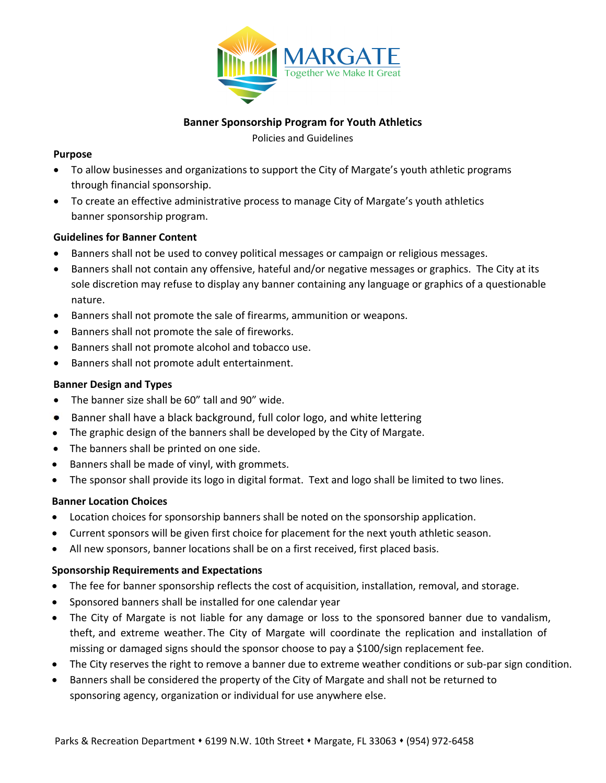

# **Banner Sponsorship Program for Youth Athletics**

Policies and Guidelines

#### **Purpose**

- To allow businesses and organizations to support the City of Margate's youth athletic programs through financial sponsorship.
- To create an effective administrative process to manage City of Margate's youth athletics banner sponsorship program.

## **Guidelines for Banner Content**

- Banners shall not be used to convey political messages or campaign or religious messages.
- Banners shall not contain any offensive, hateful and/or negative messages or graphics. The City at its sole discretion may refuse to display any banner containing any language or graphics of a questionable nature.
- Banners shall not promote the sale of firearms, ammunition or weapons.
- Banners shall not promote the sale of fireworks.
- Banners shall not promote alcohol and tobacco use.
- Banners shall not promote adult entertainment.

## **Banner Design and Types**

- The banner size shall be 60" tall and 90" wide.
- Banner shall have a black background, full color logo, and white lettering
- The graphic design of the banners shall be developed by the City of Margate.
- The banners shall be printed on one side.
- Banners shall be made of vinyl, with grommets.
- The sponsor shall provide its logo in digital format. Text and logo shall be limited to two lines.

## **Banner Location Choices**

- Location choices for sponsorship banners shall be noted on the sponsorship application.
- Current sponsors will be given first choice for placement for the next youth athletic season.
- All new sponsors, banner locations shall be on a first received, first placed basis.

## **Sponsorship Requirements and Expectations**

- The fee for banner sponsorship reflects the cost of acquisition, installation, removal, and storage.
- Sponsored banners shall be installed for one calendar year
- The City of Margate is not liable for any damage or loss to the sponsored banner due to vandalism, theft, and extreme weather. The City of Margate will coordinate the replication and installation of missing or damaged signs should the sponsor choose to pay a \$100/sign replacement fee.
- The City reserves the right to remove a banner due to extreme weather conditions or sub-par sign condition.
- Banners shall be considered the property of the City of Margate and shall not be returned to sponsoring agency, organization or individual for use anywhere else.